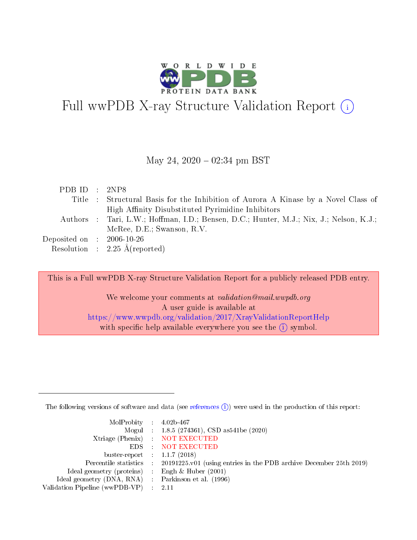

# Full wwPDB X-ray Structure Validation Report  $(i)$

#### May 24,  $2020 - 02:34$  pm BST

| PDB ID : $2NP8$                     |                                                                                         |
|-------------------------------------|-----------------------------------------------------------------------------------------|
|                                     | Title : Structural Basis for the Inhibition of Aurora A Kinase by a Novel Class of      |
|                                     | High Affinity Disubstituted Pyrimidine Inhibitors                                       |
|                                     | Authors : Tari, L.W.; Hoffman, I.D.; Bensen, D.C.; Hunter, M.J.; Nix, J.; Nelson, K.J.; |
|                                     | McRee, D.E.; Swanson, R.V.                                                              |
| Deposited on $\,$ : 2006-10-26 $\,$ |                                                                                         |
|                                     | Resolution : $2.25 \text{ Å}$ (reported)                                                |

This is a Full wwPDB X-ray Structure Validation Report for a publicly released PDB entry.

We welcome your comments at *validation@mail.wwpdb.org* A user guide is available at <https://www.wwpdb.org/validation/2017/XrayValidationReportHelp> with specific help available everywhere you see the  $(i)$  symbol.

The following versions of software and data (see [references](https://www.wwpdb.org/validation/2017/XrayValidationReportHelp#references)  $(i)$ ) were used in the production of this report:

| MolProbity : $4.02b-467$                            |                                                                                            |
|-----------------------------------------------------|--------------------------------------------------------------------------------------------|
|                                                     | Mogul : 1.8.5 (274361), CSD as541be (2020)                                                 |
|                                                     | Xtriage (Phenix) NOT EXECUTED                                                              |
|                                                     | EDS : NOT EXECUTED                                                                         |
| buster-report : $1.1.7$ (2018)                      |                                                                                            |
|                                                     | Percentile statistics : 20191225.v01 (using entries in the PDB archive December 25th 2019) |
| Ideal geometry (proteins) :                         | Engh & Huber $(2001)$                                                                      |
| Ideal geometry (DNA, RNA) : Parkinson et al. (1996) |                                                                                            |
| Validation Pipeline (wwPDB-VP)                      | -2.11                                                                                      |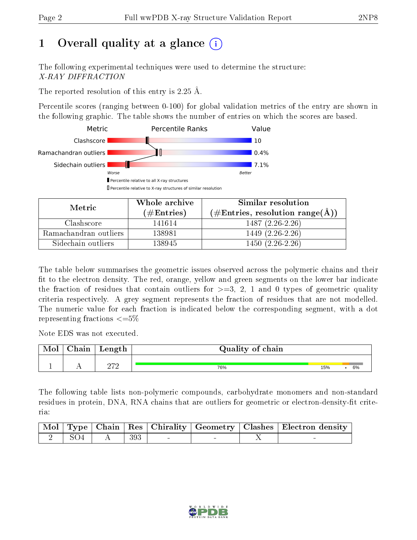# 1 [O](https://www.wwpdb.org/validation/2017/XrayValidationReportHelp#overall_quality)verall quality at a glance  $(i)$

The following experimental techniques were used to determine the structure: X-RAY DIFFRACTION

The reported resolution of this entry is 2.25 Å.

Percentile scores (ranging between 0-100) for global validation metrics of the entry are shown in the following graphic. The table shows the number of entries on which the scores are based.



| Metric                | Whole archive       | Similar resolution                                       |
|-----------------------|---------------------|----------------------------------------------------------|
|                       | (# $\rm{Entries}$ ) | $(\#\text{Entries}, \text{resolution range}(\text{\AA})$ |
| Clashscore            | 141614              | $1487(2.26-2.26)$                                        |
| Ramachandran outliers | 138981              | 1449 (2.26-2.26)                                         |
| Sidechain outliers    | 138945              | $1450(2.26-2.26)$                                        |

The table below summarises the geometric issues observed across the polymeric chains and their fit to the electron density. The red, orange, yellow and green segments on the lower bar indicate the fraction of residues that contain outliers for  $\geq=3$ , 2, 1 and 0 types of geometric quality criteria respectively. A grey segment represents the fraction of residues that are not modelled. The numeric value for each fraction is indicated below the corresponding segment, with a dot representing fractions  $\leq=5\%$ 

Note EDS was not executed.

| Mol | ${\rm Chain}$ | Length | Quality of chain |     |    |
|-----|---------------|--------|------------------|-----|----|
|     |               | റൗറ    | 76%              | 15% | 6% |

The following table lists non-polymeric compounds, carbohydrate monomers and non-standard residues in protein, DNA, RNA chains that are outliers for geometric or electron-density-fit criteria:

|                     |          |        |  | Mol   Type   Chain   Res   Chirality   Geometry   Clashes   Electron density |
|---------------------|----------|--------|--|------------------------------------------------------------------------------|
| $\frac{1}{2}$   SO4 | $A \mid$ | $-393$ |  |                                                                              |

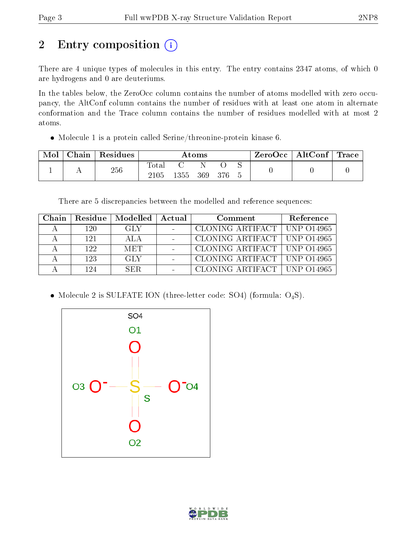# 2 Entry composition (i)

There are 4 unique types of molecules in this entry. The entry contains 2347 atoms, of which 0 are hydrogens and 0 are deuteriums.

In the tables below, the ZeroOcc column contains the number of atoms modelled with zero occupancy, the AltConf column contains the number of residues with at least one atom in alternate conformation and the Trace column contains the number of residues modelled with at most 2 atoms.

Molecule 1 is a protein called Serine/threonine-protein kinase 6.

| Mol | Chain | Residues | $\rm{Atoms}$  |              |  | $\text{ZeroOcc}$   AltConf   Trace |  |  |  |
|-----|-------|----------|---------------|--------------|--|------------------------------------|--|--|--|
|     |       | 256      | Total<br>2105 | 1355 369 376 |  |                                    |  |  |  |

There are 5 discrepancies between the modelled and reference sequences:

| Chain | Residue | $\mathord{\textsf{!}}$ Modelled $\mathord{\textsf{!}}$ | Actual | Comment                       | Reference |
|-------|---------|--------------------------------------------------------|--------|-------------------------------|-----------|
|       | 120     | GLY.                                                   |        | CLONING ARTIFACT   UNP 014965 |           |
|       | 121     | ALA                                                    |        | CLONING ARTIFACT   UNP 014965 |           |
|       | 122.    | <b>MET</b>                                             |        | CLONING ARTIFACT   UNP 014965 |           |
|       | 123     | -GLY                                                   |        | CLONING ARTIFACT   UNP 014965 |           |
|       | 124     | SER.                                                   |        | CLONING ARTIFACT   UNP 014965 |           |

• Molecule 2 is SULFATE ION (three-letter code: SO4) (formula:  $O_4S$ ).



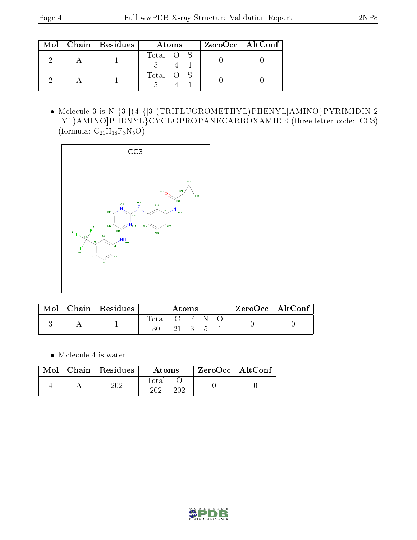|  | Mol   Chain   Residues | Atoms     | $ZeroOcc \mid AltConf \mid$ |
|--|------------------------|-----------|-----------------------------|
|  |                        | Total O S |                             |
|  |                        | Total O S |                             |

 Molecule 3 is N-{3-[(4-{[3-(TRIFLUOROMETHYL)PHENYL]AMINO}PYRIMIDIN-2 -YL)AMINO]PHENYL}CYCLOPROPANECARBOXAMIDE (three-letter code: CC3) (formula:  $\rm{C}_{21}H_{18}F_3N_5O).$ 



| Mol | Chain   Residues | Atoms |    |  |  | $\rm ZeroOcc \mid AltConf \mid$ |  |
|-----|------------------|-------|----|--|--|---------------------------------|--|
|     |                  | Total | 21 |  |  |                                 |  |

• Molecule 4 is water.

|  | $Mol$   Chain   Residues | Atoms               | ZeroOcc   AltConf |  |
|--|--------------------------|---------------------|-------------------|--|
|  | $202\,$                  | Total<br>າ∩າ<br>202 |                   |  |

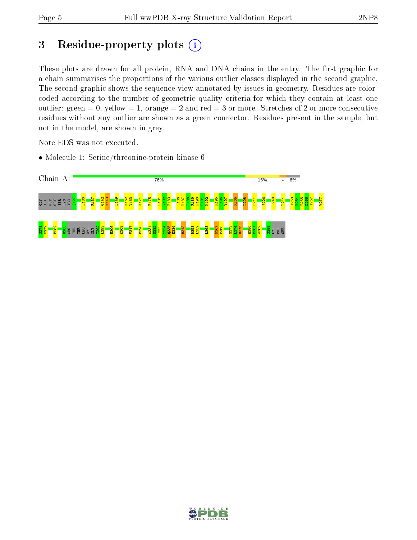# 3 Residue-property plots  $(i)$

These plots are drawn for all protein, RNA and DNA chains in the entry. The first graphic for a chain summarises the proportions of the various outlier classes displayed in the second graphic. The second graphic shows the sequence view annotated by issues in geometry. Residues are colorcoded according to the number of geometric quality criteria for which they contain at least one outlier: green  $= 0$ , yellow  $= 1$ , orange  $= 2$  and red  $= 3$  or more. Stretches of 2 or more consecutive residues without any outlier are shown as a green connector. Residues present in the sample, but not in the model, are shown in grey.

Note EDS was not executed.

• Molecule 1: Serine/threonine-protein kinase 6



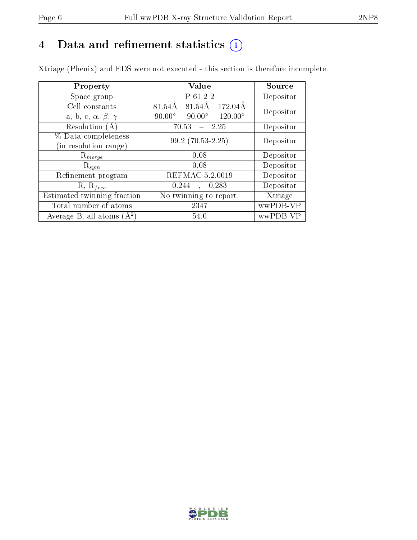# 4 Data and refinement statistics  $(i)$

Xtriage (Phenix) and EDS were not executed - this section is therefore incomplete.

| Property                               | Value                                              | Source    |  |
|----------------------------------------|----------------------------------------------------|-----------|--|
| Space group                            | P 61 2 2                                           | Depositor |  |
| Cell constants                         | 81.54Å<br>81.54Å<br>$172.04\text{\AA}$             | Depositor |  |
| a, b, c, $\alpha$ , $\beta$ , $\gamma$ | $90.00^\circ$<br>$120.00^{\circ}$<br>$90.00^\circ$ |           |  |
| Resolution (A)                         | 70.53<br>$-2.25$                                   | Depositor |  |
| % Data completeness                    | $99.2(70.53-2.25)$                                 | Depositor |  |
| (in resolution range)                  |                                                    |           |  |
| $\mathrm{R}_{merge}$                   | 0.08                                               | Depositor |  |
| $\mathrm{R}_{sym}$                     | 0.08                                               | Depositor |  |
| Refinement program                     | REFMAC 5.2.0019                                    | Depositor |  |
| $R, R_{free}$                          | 0.244<br>0.283<br>$\ddot{\phantom{a}}$             | Depositor |  |
| Estimated twinning fraction            | No twinning to report.                             | Xtriage   |  |
| Total number of atoms                  | 2347                                               | wwPDB-VP  |  |
| Average B, all atoms $(A^2)$           | 54.0                                               | wwPDB-VP  |  |

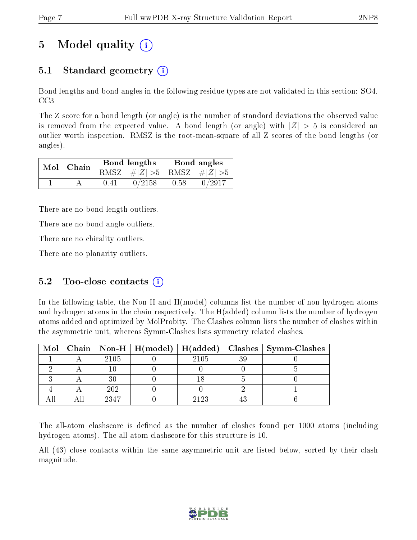# 5 Model quality  $(i)$

## 5.1 Standard geometry  $(i)$

Bond lengths and bond angles in the following residue types are not validated in this section: SO4, CC3

The Z score for a bond length (or angle) is the number of standard deviations the observed value is removed from the expected value. A bond length (or angle) with  $|Z| > 5$  is considered an outlier worth inspection. RMSZ is the root-mean-square of all Z scores of the bond lengths (or angles).

| $Mol$   Chain |      | Bond lengths                    | Bond angles |        |  |
|---------------|------|---------------------------------|-------------|--------|--|
|               |      | RMSZ $ #Z  > 5$ RMSZ $ #Z  > 5$ |             |        |  |
|               | 0.41 | 0/2158                          | 0.58        | 0/2917 |  |

There are no bond length outliers.

There are no bond angle outliers.

There are no chirality outliers.

There are no planarity outliers.

### 5.2 Too-close contacts  $(i)$

In the following table, the Non-H and H(model) columns list the number of non-hydrogen atoms and hydrogen atoms in the chain respectively. The H(added) column lists the number of hydrogen atoms added and optimized by MolProbity. The Clashes column lists the number of clashes within the asymmetric unit, whereas Symm-Clashes lists symmetry related clashes.

|  |      |      |    | Mol   Chain   Non-H   H(model)   H(added)   Clashes   Symm-Clashes |
|--|------|------|----|--------------------------------------------------------------------|
|  | 2105 | 2105 | ЗC |                                                                    |
|  |      |      |    |                                                                    |
|  |      |      |    |                                                                    |
|  | 202  |      |    |                                                                    |
|  | 2347 | 2123 |    |                                                                    |

The all-atom clashscore is defined as the number of clashes found per 1000 atoms (including hydrogen atoms). The all-atom clashscore for this structure is 10.

All (43) close contacts within the same asymmetric unit are listed below, sorted by their clash magnitude.

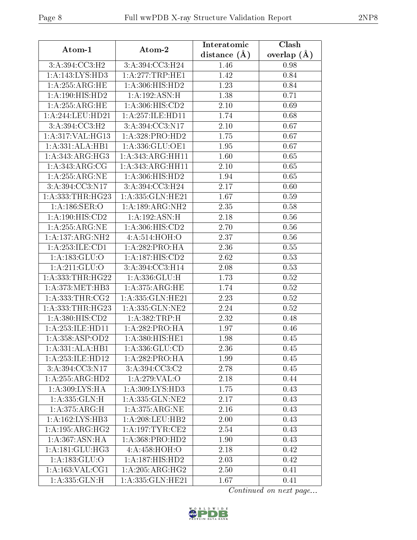| Atom-1                                       | Atom-2               | Interatomic    | Clash         |  |
|----------------------------------------------|----------------------|----------------|---------------|--|
|                                              |                      | distance $(A)$ | overlap $(A)$ |  |
| 3:A:394:CC3:H2                               | 3:A:394:CC3:H24      | 1.46           | 0.98          |  |
| 1:A:143:LYS:HD3                              | 1:A:277:TRP:HE1      | 1.42           | 0.84          |  |
| 1: A:255: ARG: HE                            | 1:A:306:HIS:HD2      | 1.23           | 0.84          |  |
| 1:A:190:HIS:HD2                              | 1:A:192:ASN:H        | 1.38           | 0.71          |  |
| 1: A:255: ARG: HE                            | 1:A:306:HIS:CD2      | 2.10           | 0.69          |  |
| 1:A:244:LEU:HD21                             | 1:A:257:ILE:HD11     | 1.74           | 0.68          |  |
| 3:A:394:CC3:H2                               | 3:A:394:CC3:N17      | 2.10           | 0.67          |  |
| 1:A:317:VAL:HG13                             | 1:A:328:PRO:HD2      | 1.75           | 0.67          |  |
| 1:A:331:ALA:HB1                              | 1: A: 336: GLU: OE1  | 1.95           | 0.67          |  |
| 1: A: 343: ARG: HG3                          | 1:A:343:ARG:HH11     | 1.60           | 0.65          |  |
| 1: A: 343:ARG:CG                             | 1: A: 343: ARG: HH11 | 2.10           | 0.65          |  |
| 1: A:255:ARG:NE                              | 1:A:306:HIS:HD2      | 1.94           | 0.65          |  |
| 3:A:394:CC3:N17                              | 3:A:394:CC3:H24      | 2.17           | 0.60          |  |
| 1:A:333:THR:HG23                             | 1:A:335:GLN:HE21     | 1.67           | 0.59          |  |
| 1: A:186: SER:O                              | 1: A: 189: ARG: NH2  | 2.35           | 0.58          |  |
| 1:A:190:HIS:CD2                              | 1: A:192: ASN:H      | 2.18           | 0.56          |  |
| 1: A:255: ARG:NE                             | 1: A:306: HIS: CD2   | 2.70           | 0.56          |  |
| $1:A:137: \overline{\text{ARG}: \text{NH2}}$ | 4: A:514: HOH:O      | 2.37           | 0.56          |  |
| 1:A:253:ILE:CD1                              | 1:A:282:PRO:HA       | 2.36           | 0.55          |  |
| 1:A:183:GLU:O                                | 1:A:187:HIS:CD2      | 2.62           | 0.53          |  |
| 1: A:211: GLU:O                              | 3:A:394:CC3:H14      | 2.08           | 0.53          |  |
| 1: A: 333: THR: HG22                         | 1:A:336:GLU:H        | 1.73           | 0.52          |  |
| 1: A:373:MET:HB3                             | 1: A:375: ARG: HE    | 1.74           | 0.52          |  |
| 1: A: 333: THR: CG2                          | 1:A:335:GLN:HE21     | 2.23           | 0.52          |  |
| 1:A:333:THR:HG23                             | 1:A:335:GLN:NE2      | 2.24           | 0.52          |  |
| 1:A:380:HIS:CD2                              | 1: A: 382: TRP:H     | 2.32           | 0.48          |  |
| 1:A:253:ILE:HD11                             | 1:A:282:PRO:HA       | 1.97           | 0.46          |  |
| 1: A: 358: ASP: OD2                          | 1: A:380:HIS:HE1     | 1.98           | 0.45          |  |
| 1:A:331:ALA:HB1                              | 1:A:336:GLU:CD       | 2.36           | 0.45          |  |
| 1:A:253:ILE:HD12                             | 1:A:282:PRO:HA       | 1.99           | 0.45          |  |
| 3:A:394:CC3:N17                              | 3:A:394:CC3:C2       | 2.78           | 0.45          |  |
| $1:A:255:ARG:\overline{HD2}$                 | 1:A:279:VAL:O        | 2.18           | 0.44          |  |
| 1: A:309: LYS: HA                            | 1: A:309: LYS: HD3   | 1.75           | 0.43          |  |
| 1: A: 335: GLN:H                             | 1:A:335:GLN:NE2      | 2.17           | 0.43          |  |
| 1: A:375: ARG:H                              | 1: A:375: ARG:NE     | 2.16           | 0.43          |  |
| 1:A:162:LYS:HB3                              | 1: A:208:LEU:HB2     | 2.00           | 0.43          |  |
| 1:A:195:ARG:HG2                              | 1: A:197:TYR:CE2     | 2.54           | 0.43          |  |
| 1: A: 367: ASN: HA                           | 1:A:368:PRO:HD2      | 1.90           | 0.43          |  |
| 1: A:181: GLU:HG3                            | 4:A:458:HOH:O        | 2.18           | 0.42          |  |
| 1: A: 183: GLU:O                             | 1:A:187:HIS:HD2      | 2.03           | 0.42          |  |
| 1: A: 163: VAL: CG1                          | 1: A:205: ARG:HG2    | 2.50           | 0.41          |  |
| 1: A: 335: GLN:H                             | 1:A:335:GLN:HE21     | 1.67           | 0.41          |  |

Continued on next page...

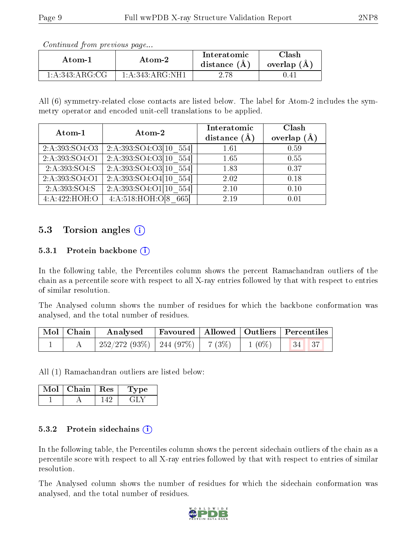Continued from previous page...

| Atom-1                   | Atom-2               |  | <b>Tlash</b><br>overlap $(A)$ |  |
|--------------------------|----------------------|--|-------------------------------|--|
| $1:\!A:\!343:\!ARG:\!CG$ | 1: A: 343:A R G: NH1 |  | 1.4 <sub>1</sub>              |  |

All (6) symmetry-related close contacts are listed below. The label for Atom-2 includes the symmetry operator and encoded unit-cell translations to be applied.

| Atom-1         | Atom-2                                    | Interatomic<br>distance $(A)$ | Clash<br>overlap $(A)$ |
|----------------|-------------------------------------------|-------------------------------|------------------------|
| 2:A:393:SO4:O3 | $\overline{2:A:393:SO4:O3[10 \quad 554]}$ | 1.61                          | 0.59                   |
| 2:A:393:SO4:O1 | 2: A: 393 : SO4 : O3[10]<br>554           | 1.65                          | 0.55                   |
| 2:A:393:SO4:S  | $\overline{2:A:393:SO4:O3[10 \quad 554]}$ | 1.83                          | 0.37                   |
| 2:A:393:SO4:O1 | 2: A: 393: SO4: O4[10]<br>554             | 2.02                          | 0.18                   |
| 2:A:393:SO4:S  | $\overline{2:A:393:SO4:O1 10}$ 554        | 2.10                          | 0.10                   |
| 4:A:422:HOH:O  | 4: A:518: HOH: O[8]<br>665                | 2.19                          | 0.01                   |

### 5.3 Torsion angles (i)

#### 5.3.1 Protein backbone (i)

In the following table, the Percentiles column shows the percent Ramachandran outliers of the chain as a percentile score with respect to all X-ray entries followed by that with respect to entries of similar resolution.

The Analysed column shows the number of residues for which the backbone conformation was analysed, and the total number of residues.

| $\mid$ Mol $\mid$ Chain $\mid$ | $\boldsymbol{\mathrm{Analysed}}$                  |  | Favoured   Allowed   Outliers   Percentiles |  |
|--------------------------------|---------------------------------------------------|--|---------------------------------------------|--|
|                                | $252/272$ (93\%)   244 (97\%)   7 (3\%)   1 (0\%) |  | 34   37                                     |  |

All (1) Ramachandran outliers are listed below:

| Mol | Chain   Res | туре |
|-----|-------------|------|
|     |             |      |

#### 5.3.2 Protein sidechains  $(i)$

In the following table, the Percentiles column shows the percent sidechain outliers of the chain as a percentile score with respect to all X-ray entries followed by that with respect to entries of similar resolution.

The Analysed column shows the number of residues for which the sidechain conformation was analysed, and the total number of residues.

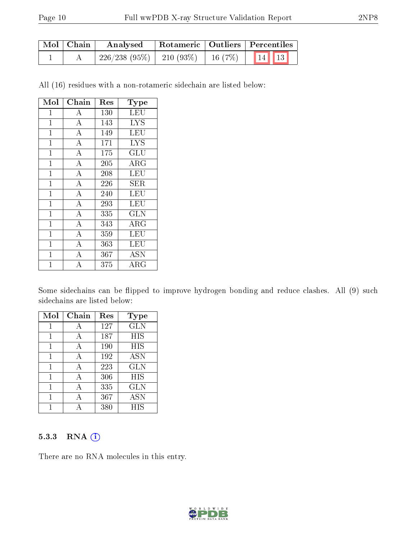| Mol   Chain | Analysed                                        |  | $\mid$ Rotameric $\mid$ Outliers $\mid$ Percentiles $\mid$ |  |  |
|-------------|-------------------------------------------------|--|------------------------------------------------------------|--|--|
|             | $'$ 226/238 (95%)   210 (93%)   16 (7%)   14 13 |  |                                                            |  |  |

All (16) residues with a non-rotameric sidechain are listed below:

| Mol            | Chain                   | Res | <b>Type</b>       |
|----------------|-------------------------|-----|-------------------|
| $\mathbf 1$    | $\boldsymbol{A}$        | 130 | LEU               |
| $\mathbf{1}$   | $\boldsymbol{A}$        | 143 | <b>LYS</b>        |
| $\mathbf{1}$   | $\overline{A}$          | 149 | LEU               |
| $\overline{1}$ | $\overline{A}$          | 171 | <b>LYS</b>        |
| $\overline{1}$ | $\overline{A}$          | 175 | GLU               |
| $\mathbf{1}$   | $\overline{\rm A}$      | 205 | $\rm{ARG}$        |
| $\mathbf{1}$   | $\overline{A}$          | 208 | LEU               |
| $\mathbf{1}$   | $\overline{A}$          | 226 | SER               |
| $\overline{1}$ | $\overline{A}$          | 240 | LEU               |
| $\mathbf{1}$   | $\overline{\rm A}$      | 293 | LEU               |
| $\mathbf 1$    | $\overline{\mathbf{A}}$ | 335 | <b>GLN</b>        |
| $\mathbf{1}$   | $\overline{A}$          | 343 | $\rm{ARG}$        |
| $\overline{1}$ | $\overline{\rm A}$      | 359 | LEU               |
| $\overline{1}$ | $\overline{A}$          | 363 | LEU               |
| 1              | $\overline{\rm A}$      | 367 | $\overline{A}$ SN |
| 1              | А                       | 375 | ${\rm ARG}$       |

Some sidechains can be flipped to improve hydrogen bonding and reduce clashes. All (9) such sidechains are listed below:

| Mol | Chain | Res | Type       |
|-----|-------|-----|------------|
| 1   | А     | 127 | <b>GLN</b> |
| 1   | А     | 187 | HIS        |
| 1   | A     | 190 | HIS        |
| 1   | А     | 192 | <b>ASN</b> |
| 1   | A     | 223 | <b>GLN</b> |
| 1   | А     | 306 | <b>HIS</b> |
| 1   | А     | 335 | GLN        |
| 1   | А     | 367 | ASN        |
|     |       | 380 | <b>HIS</b> |

#### 5.3.3 RNA (1)

There are no RNA molecules in this entry.

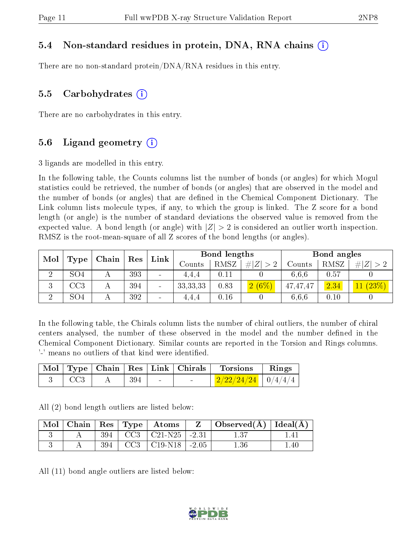#### 5.4 Non-standard residues in protein, DNA, RNA chains (i)

There are no non-standard protein/DNA/RNA residues in this entry.

#### 5.5 Carbohydrates  $(i)$

There are no carbohydrates in this entry.

#### 5.6 Ligand geometry  $(i)$

3 ligands are modelled in this entry.

In the following table, the Counts columns list the number of bonds (or angles) for which Mogul statistics could be retrieved, the number of bonds (or angles) that are observed in the model and the number of bonds (or angles) that are dened in the Chemical Component Dictionary. The Link column lists molecule types, if any, to which the group is linked. The Z score for a bond length (or angle) is the number of standard deviations the observed value is removed from the expected value. A bond length (or angle) with  $|Z| > 2$  is considered an outlier worth inspection. RMSZ is the root-mean-square of all Z scores of the bond lengths (or angles).

| Mol    |                 | Chain | Res | Link            |            | Bond lengths |          |                   | Bond angles |             |
|--------|-----------------|-------|-----|-----------------|------------|--------------|----------|-------------------|-------------|-------------|
|        | Type            |       |     |                 | Counts     | <b>RMSZ</b>  | Z<br>#   | $\mathrm{Counts}$ | RMSZ        | # <br> Z >2 |
| ച<br>↵ | SO4             |       | 393 | $\qquad \qquad$ | 4.4.4      | 0.11         |          | 6.6.6             | 0.57        |             |
| J.     | $\rm{CC}3$      |       | 394 | $\sim$          | 33, 33, 33 | 0.83         | $2(6\%)$ | 47,47,47          | 2.34        | 11(23%)     |
| ച      | SO <sub>4</sub> |       | 392 | $\sim$          | 4.4.4      | 0.16         |          | 6,6,6             | $0.10\,$    |             |

In the following table, the Chirals column lists the number of chiral outliers, the number of chiral centers analysed, the number of these observed in the model and the number defined in the Chemical Component Dictionary. Similar counts are reported in the Torsion and Rings columns. '-' means no outliers of that kind were identified.

|             |       |        | Mol   Type   Chain   Res   Link   Chirals | Torsions                                | Rings |
|-------------|-------|--------|-------------------------------------------|-----------------------------------------|-------|
| $\perp$ CC3 | - 394 | $\sim$ |                                           | $\mid$ 2/22/24/24 $\mid$ 0/4/4/4 $\mid$ |       |

All (2) bond length outliers are listed below:

|  |  | $\vert$ Mol $\vert$ Chain $\vert$ Res $\vert$ Type $\vert$ Atoms | $\mathbf{Z}$ | $\vert$ Observed( $\overline{A}$ ) $\vert$ Ideal( $\overline{A}$ ) $\vert$ |      |
|--|--|------------------------------------------------------------------|--------------|----------------------------------------------------------------------------|------|
|  |  | $394$   CC3   C21-N25   -2.31                                    |              |                                                                            |      |
|  |  | $394$   CC3   C19-N18   -2.05                                    |              | 1.36                                                                       | 1.40 |

All (11) bond angle outliers are listed below:

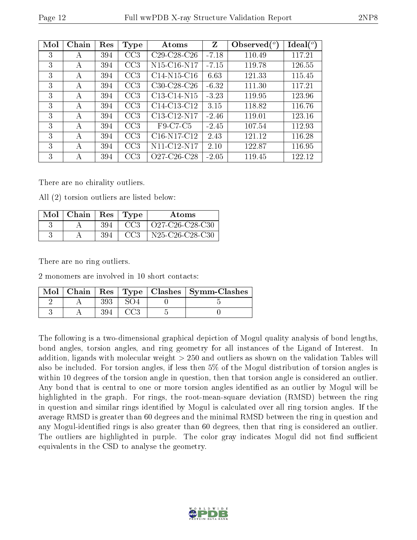| Mol | Chain | Res | Type            | Atoms                                             | Z       | Observed $(°)$ | Ideal $(^\circ)$ |
|-----|-------|-----|-----------------|---------------------------------------------------|---------|----------------|------------------|
| 3   | А     | 394 | CC3             | $C29-C28-C26$                                     | $-7.18$ | 110.49         | 117.21           |
| 3   | А     | 394 | CC3             | N15-C16-N17                                       | $-7.15$ | 119.78         | 126.55           |
| 3   | А     | 394 | CC3             | $C14-N15-C16$                                     | 6.63    | 121.33         | 115.45           |
| 3   | А     | 394 | CC3             | $C30-C28-C26$                                     | $-6.32$ | 111.30         | 117.21           |
| 3   | А     | 394 | CC3             | C13-C14-N15                                       | $-3.23$ | 119.95         | 123.96           |
| 3   | А     | 394 | CC3             | C14-C13-C12                                       | 3.15    | 118.82         | 116.76           |
| 3   | А     | 394 | CC3             | C13-C12-N17                                       | $-2.46$ | 119.01         | 123.16           |
| 3   | А     | 394 | CC3             | F9-C7-C5                                          | $-2.45$ | 107.54         | 112.93           |
| 3   | А     | 394 | CC <sub>3</sub> | C <sub>16</sub> -N <sub>17</sub> -C <sub>12</sub> | 2.43    | 121.12         | 116.28           |
| 3   | А     | 394 | CC3             | N11-C12-N17                                       | 2.10    | 122.87         | 116.95           |
| 3   | А     | 394 | CC <sub>3</sub> | O27-C26-C28                                       | $-2.05$ | 119.45         | 122.12           |

There are no chirality outliers.

All (2) torsion outliers are listed below:

| Mol | Chain | Res | Type            | Atoms                                                              |
|-----|-------|-----|-----------------|--------------------------------------------------------------------|
|     |       | 394 | CC <sub>3</sub> | $O27-C26-C28-C30$                                                  |
|     |       | 394 |                 | N <sub>25</sub> -C <sub>26</sub> -C <sub>28</sub> -C <sub>30</sub> |

There are no ring outliers.

2 monomers are involved in 10 short contacts:

|  |  | Mol   Chain   Res   Type   Clashes   Symm-Clashes |
|--|--|---------------------------------------------------|
|  |  |                                                   |
|  |  |                                                   |

The following is a two-dimensional graphical depiction of Mogul quality analysis of bond lengths, bond angles, torsion angles, and ring geometry for all instances of the Ligand of Interest. In addition, ligands with molecular weight > 250 and outliers as shown on the validation Tables will also be included. For torsion angles, if less then 5% of the Mogul distribution of torsion angles is within 10 degrees of the torsion angle in question, then that torsion angle is considered an outlier. Any bond that is central to one or more torsion angles identified as an outlier by Mogul will be highlighted in the graph. For rings, the root-mean-square deviation (RMSD) between the ring in question and similar rings identified by Mogul is calculated over all ring torsion angles. If the average RMSD is greater than 60 degrees and the minimal RMSD between the ring in question and any Mogul-identified rings is also greater than 60 degrees, then that ring is considered an outlier. The outliers are highlighted in purple. The color gray indicates Mogul did not find sufficient equivalents in the CSD to analyse the geometry.

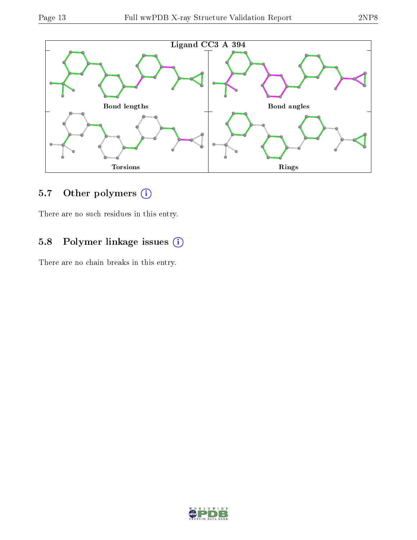

## 5.7 [O](https://www.wwpdb.org/validation/2017/XrayValidationReportHelp#nonstandard_residues_and_ligands)ther polymers (i)

There are no such residues in this entry.

## 5.8 Polymer linkage issues (i)

There are no chain breaks in this entry.